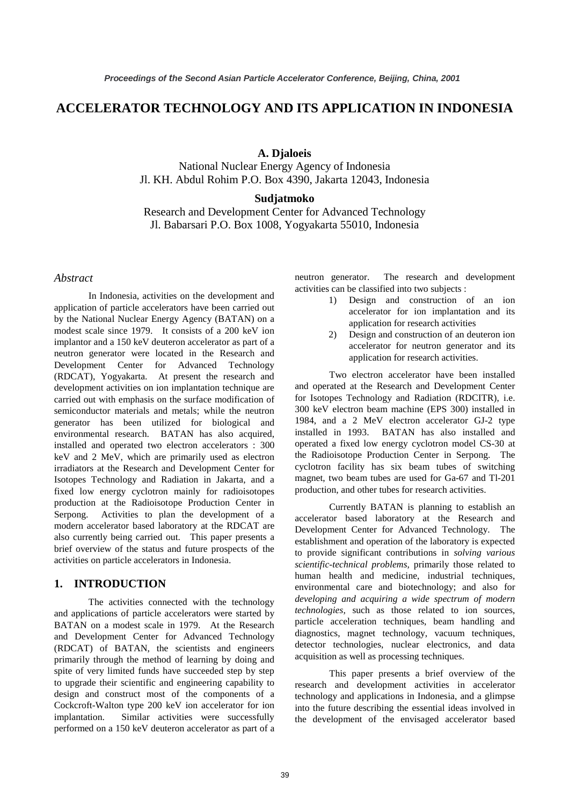# **ACCELERATOR TECHNOLOGY AND ITS APPLICATION IN INDONESIA**

### **A. Djaloeis**

National Nuclear Energy Agency of Indonesia Jl. KH. Abdul Rohim P.O. Box 4390, Jakarta 12043, Indonesia

#### **Sudjatmoko**

Research and Development Center for Advanced Technology Jl. Babarsari P.O. Box 1008, Yogyakarta 55010, Indonesia

#### *Abstract*

In Indonesia, activities on the development and application of particle accelerators have been carried out by the National Nuclear Energy Agency (BATAN) on a modest scale since 1979. It consists of a 200 keV ion implantor and a 150 keV deuteron accelerator as part of a neutron generator were located in the Research and Development Center for Advanced Technology (RDCAT), Yogyakarta. At present the research and development activities on ion implantation technique are carried out with emphasis on the surface modification of semiconductor materials and metals; while the neutron generator has been utilized for biological and environmental research. BATAN has also acquired, installed and operated two electron accelerators : 300 keV and 2 MeV, which are primarily used as electron irradiators at the Research and Development Center for Isotopes Technology and Radiation in Jakarta, and a fixed low energy cyclotron mainly for radioisotopes production at the Radioisotope Production Center in Serpong. Activities to plan the development of a modern accelerator based laboratory at the RDCAT are also currently being carried out. This paper presents a brief overview of the status and future prospects of the activities on particle accelerators in Indonesia.

#### **1. INTRODUCTION**

The activities connected with the technology and applications of particle accelerators were started by BATAN on a modest scale in 1979. At the Research and Development Center for Advanced Technology (RDCAT) of BATAN, the scientists and engineers primarily through the method of learning by doing and spite of very limited funds have succeeded step by step to upgrade their scientific and engineering capability to design and construct most of the components of a Cockcroft-Walton type 200 keV ion accelerator for ion implantation. Similar activities were successfully performed on a 150 keV deuteron accelerator as part of a neutron generator. The research and development activities can be classified into two subjects :

- 1) Design and construction of an ion accelerator for ion implantation and its application for research activities
- 2) Design and construction of an deuteron ion accelerator for neutron generator and its application for research activities.

Two electron accelerator have been installed and operated at the Research and Development Center for Isotopes Technology and Radiation (RDCITR), i.e. 300 keV electron beam machine (EPS 300) installed in 1984, and a 2 MeV electron accelerator GJ-2 type installed in 1993. BATAN has also installed and operated a fixed low energy cyclotron model CS-30 at the Radioisotope Production Center in Serpong. The cyclotron facility has six beam tubes of switching magnet, two beam tubes are used for Ga-67 and Tl-201 production, and other tubes for research activities.

Currently BATAN is planning to establish an accelerator based laboratory at the Research and Development Center for Advanced Technology. The establishment and operation of the laboratory is expected to provide significant contributions in *solving various scientific-technical problems,* primarily those related to human health and medicine, industrial techniques, environmental care and biotechnology; and also for *developing and acquiring a wide spectrum of modern technologies,* such as those related to ion sources, particle acceleration techniques, beam handling and diagnostics, magnet technology, vacuum techniques, detector technologies, nuclear electronics, and data acquisition as well as processing techniques.

This paper presents a brief overview of the research and development activities in accelerator technology and applications in Indonesia, and a glimpse into the future describing the essential ideas involved in the development of the envisaged accelerator based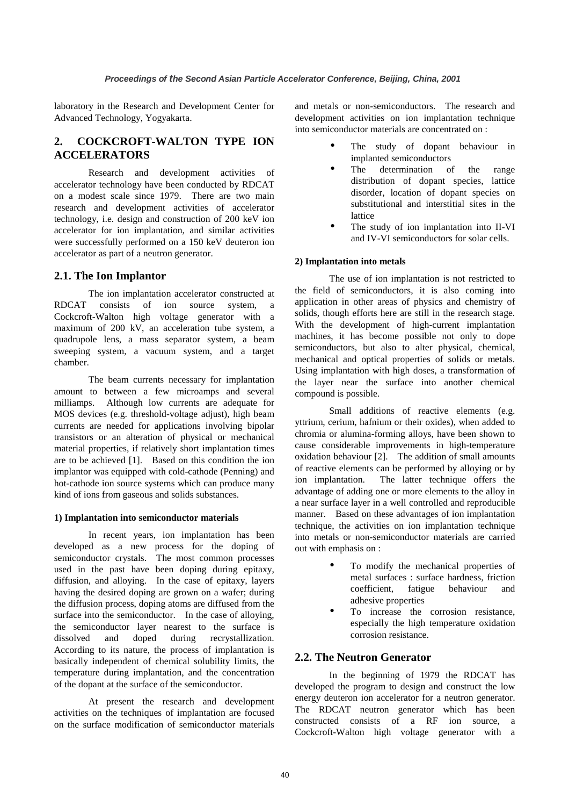laboratory in the Research and Development Center for Advanced Technology, Yogyakarta.

### **2. COCKCROFT-WALTON TYPE ION ACCELERATORS**

Research and development activities of accelerator technology have been conducted by RDCAT on a modest scale since 1979. There are two main research and development activities of accelerator technology, i.e. design and construction of 200 keV ion accelerator for ion implantation, and similar activities were successfully performed on a 150 keV deuteron ion accelerator as part of a neutron generator.

# **2.1. The Ion Implantor**

The ion implantation accelerator constructed at RDCAT consists of ion source system, a Cockcroft-Walton high voltage generator with a maximum of 200 kV, an acceleration tube system, a quadrupole lens, a mass separator system, a beam sweeping system, a vacuum system, and a target chamber.

The beam currents necessary for implantation amount to between a few microamps and several milliamps. Although low currents are adequate for MOS devices (e.g. threshold-voltage adjust), high beam currents are needed for applications involving bipolar transistors or an alteration of physical or mechanical material properties, if relatively short implantation times are to be achieved [1]. Based on this condition the ion implantor was equipped with cold-cathode (Penning) and hot-cathode ion source systems which can produce many kind of ions from gaseous and solids substances.

#### **1) Implantation into semiconductor materials**

In recent years, ion implantation has been developed as a new process for the doping of semiconductor crystals. The most common processes used in the past have been doping during epitaxy, diffusion, and alloying. In the case of epitaxy, layers having the desired doping are grown on a wafer; during the diffusion process, doping atoms are diffused from the surface into the semiconductor. In the case of alloying, the semiconductor layer nearest to the surface is dissolved and doped during recrystallization. According to its nature, the process of implantation is basically independent of chemical solubility limits, the temperature during implantation, and the concentration of the dopant at the surface of the semiconductor.

At present the research and development activities on the techniques of implantation are focused on the surface modification of semiconductor materials and metals or non-semiconductors. The research and development activities on ion implantation technique into semiconductor materials are concentrated on :

- The study of dopant behaviour in implanted semiconductors
- The determination of the range distribution of dopant species, lattice disorder, location of dopant species on substitutional and interstitial sites in the lattice
- The study of ion implantation into II-VI and IV-VI semiconductors for solar cells.

#### **2) Implantation into metals**

The use of ion implantation is not restricted to the field of semiconductors, it is also coming into application in other areas of physics and chemistry of solids, though efforts here are still in the research stage. With the development of high-current implantation machines, it has become possible not only to dope semiconductors, but also to alter physical, chemical, mechanical and optical properties of solids or metals. Using implantation with high doses, a transformation of the layer near the surface into another chemical compound is possible.

Small additions of reactive elements (e.g. yttrium, cerium, hafnium or their oxides), when added to chromia or alumina-forming alloys, have been shown to cause considerable improvements in high-temperature oxidation behaviour [2]. The addition of small amounts of reactive elements can be performed by alloying or by ion implantation. The latter technique offers the advantage of adding one or more elements to the alloy in a near surface layer in a well controlled and reproducible manner. Based on these advantages of ion implantation technique, the activities on ion implantation technique into metals or non-semiconductor materials are carried out with emphasis on :

- To modify the mechanical properties of metal surfaces : surface hardness, friction coefficient, fatigue behaviour and adhesive properties
- To increase the corrosion resistance, especially the high temperature oxidation corrosion resistance.

### **2.2. The Neutron Generator**

In the beginning of 1979 the RDCAT has developed the program to design and construct the low energy deuteron ion accelerator for a neutron generator. The RDCAT neutron generator which has been constructed consists of a RF ion source, a Cockcroft-Walton high voltage generator with a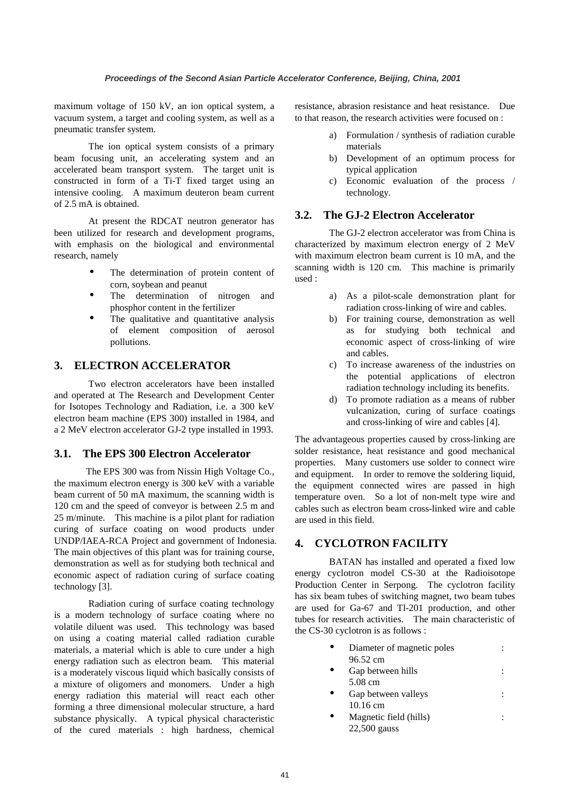maximum voltage of 150 kV, an ion optical system, a vacuum system, a target and cooling system, as well as a pneumatic transfer system.

The ion optical system consists of a primary beam focusing unit, an accelerating system and an accelerated beam transport system. The target unit is constructed in form of a Ti-T fixed target using an intensive cooling. A maximum deuteron beam current of 2.5 mA is obtained.

At present the RDCAT neutron generator has been utilized for research and development programs, with emphasis on the biological and environmental research, namely

- The determination of protein content of corn, soybean and peanut
- The determination of nitrogen and phosphor content in the fertilizer
- The qualitative and quantitative analysis of element composition of aerosol pollutions.

### **3. ELECTRON ACCELERATOR**

Two electron accelerators have been installed and operated at The Research and Development Center for Isotopes Technology and Radiation, i.e. a 300 keV electron beam machine (EPS 300) installed in 1984, and a 2 MeV electron accelerator GJ-2 type installed in 1993.

### **3.1. The EPS 300 Electron Accelerator**

The EPS 300 was from Nissin High Voltage Co., the maximum electron energy is 300 keV with a variable beam current of 50 mA maximum, the scanning width is 120 cm and the speed of conveyor is between 2.5 m and 25 m/minute. This machine is a pilot plant for radiation curing of surface coating on wood products under UNDP/IAEA-RCA Project and government of Indonesia. The main objectives of this plant was for training course, demonstration as well as for studying both technical and economic aspect of radiation curing of surface coating technology [3].

Radiation curing of surface coating technology is a modern technology of surface coating where no volatile diluent was used. This technology was based on using a coating material called radiation curable materials, a material which is able to cure under a high energy radiation such as electron beam. This material is a moderately viscous liquid which basically consists of a mixture of oligomers and monomers. Under a high energy radiation this material will react each other forming a three dimensional molecular structure, a hard substance physically. A typical physical characteristic of the cured materials : high hardness, chemical resistance, abrasion resistance and heat resistance. Due to that reason, the research activities were focused on :

- a) Formulation / synthesis of radiation curable materials
- b) Development of an optimum process for typical application
- c) Economic evaluation of the process / technology.

### **3.2. The GJ-2 Electron Accelerator**

The GJ-2 electron accelerator was from China is characterized by maximum electron energy of 2 MeV with maximum electron beam current is 10 mA, and the scanning width is 120 cm. This machine is primarily used :

- a) As a pilot-scale demonstration plant for radiation cross-linking of wire and cables.
- b) For training course, demonstration as well as for studying both technical and economic aspect of cross-linking of wire and cables.
- c) To increase awareness of the industries on the potential applications of electron radiation technology including its benefits.
- d) To promote radiation as a means of rubber vulcanization, curing of surface coatings and cross-linking of wire and cables [4].

The advantageous properties caused by cross-linking are solder resistance, heat resistance and good mechanical properties. Many customers use solder to connect wire and equipment. In order to remove the soldering liquid, the equipment connected wires are passed in high temperature oven. So a lot of non-melt type wire and cables such as electron beam cross-linked wire and cable are used in this field.

# **4. CYCLOTRON FACILITY**

BATAN has installed and operated a fixed low energy cyclotron model CS-30 at the Radioisotope Production Center in Serpong. The cyclotron facility has six beam tubes of switching magnet, two beam tubes are used for Ga-67 and Tl-201 production, and other tubes for research activities. The main characteristic of the CS-30 cyclotron is as follows :

|   | Diameter of magnetic poles |  |
|---|----------------------------|--|
|   | 96.52 cm                   |  |
| ٠ | Gap between hills          |  |
|   | 5.08 cm                    |  |

- Gap between valleys : 10.16 cm
- Magnetic field (hills) : 22,500 gauss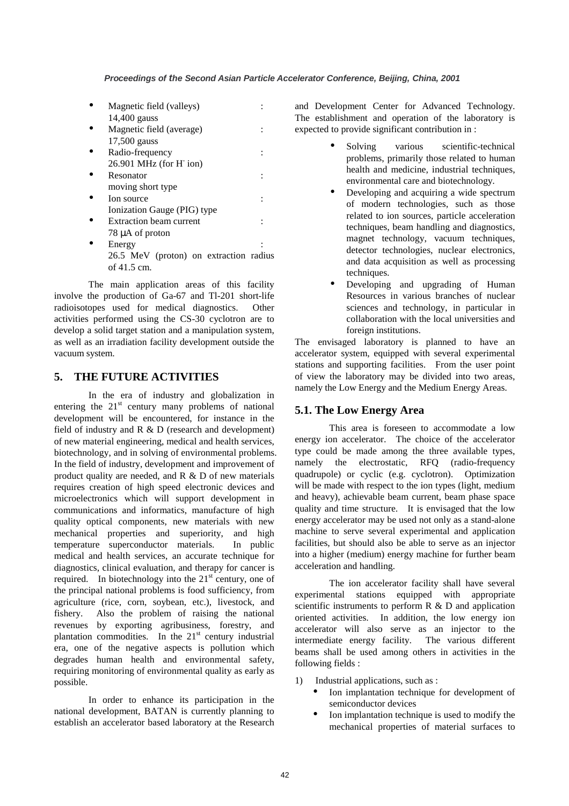| Magnetic field (valleys)               |  |
|----------------------------------------|--|
| 14,400 gauss                           |  |
| Magnetic field (average)               |  |
| 17,500 gauss                           |  |
| Radio-frequency                        |  |
| 26.901 MHz (for H ion)                 |  |
| Resonator                              |  |
| moving short type                      |  |
| Ion source                             |  |
| Ionization Gauge (PIG) type            |  |
| <b>Extraction beam current</b>         |  |
| 78 µA of proton                        |  |
| Energy                                 |  |
| 26.5 MeV (proton) on extraction radius |  |
| of 41.5 cm.                            |  |

The main application areas of this facility involve the production of Ga-67 and Tl-201 short-life radioisotopes used for medical diagnostics. Other activities performed using the CS-30 cyclotron are to develop a solid target station and a manipulation system, as well as an irradiation facility development outside the vacuum system.

# **5. THE FUTURE ACTIVITIES**

In the era of industry and globalization in entering the  $21<sup>st</sup>$  century many problems of national development will be encountered, for instance in the field of industry and  $R \& D$  (research and development) of new material engineering, medical and health services, biotechnology, and in solving of environmental problems. In the field of industry, development and improvement of product quality are needed, and R & D of new materials requires creation of high speed electronic devices and microelectronics which will support development in communications and informatics, manufacture of high quality optical components, new materials with new mechanical properties and superiority, and high temperature superconductor materials. In public medical and health services, an accurate technique for diagnostics, clinical evaluation, and therapy for cancer is required. In biotechnology into the  $21<sup>st</sup>$  century, one of the principal national problems is food sufficiency, from agriculture (rice, corn, soybean, etc.), livestock, and fishery. Also the problem of raising the national revenues by exporting agribusiness, forestry, and plantation commodities. In the  $21<sup>st</sup>$  century industrial era, one of the negative aspects is pollution which degrades human health and environmental safety, requiring monitoring of environmental quality as early as possible.

In order to enhance its participation in the national development, BATAN is currently planning to establish an accelerator based laboratory at the Research

and Development Center for Advanced Technology. The establishment and operation of the laboratory is expected to provide significant contribution in :

- Solving various scientific-technical problems, primarily those related to human health and medicine, industrial techniques, environmental care and biotechnology.
- Developing and acquiring a wide spectrum of modern technologies, such as those related to ion sources, particle acceleration techniques, beam handling and diagnostics, magnet technology, vacuum techniques, detector technologies, nuclear electronics, and data acquisition as well as processing techniques.
- Developing and upgrading of Human Resources in various branches of nuclear sciences and technology, in particular in collaboration with the local universities and foreign institutions.

The envisaged laboratory is planned to have an accelerator system, equipped with several experimental stations and supporting facilities. From the user point of view the laboratory may be divided into two areas, namely the Low Energy and the Medium Energy Areas.

# **5.1. The Low Energy Area**

This area is foreseen to accommodate a low energy ion accelerator. The choice of the accelerator type could be made among the three available types, namely the electrostatic, RFQ (radio-frequency quadrupole) or cyclic (e.g. cyclotron). Optimization will be made with respect to the ion types (light, medium and heavy), achievable beam current, beam phase space quality and time structure. It is envisaged that the low energy accelerator may be used not only as a stand-alone machine to serve several experimental and application facilities, but should also be able to serve as an injector into a higher (medium) energy machine for further beam acceleration and handling.

The ion accelerator facility shall have several experimental stations equipped with appropriate scientific instruments to perform R & D and application oriented activities. In addition, the low energy ion accelerator will also serve as an injector to the intermediate energy facility. The various different beams shall be used among others in activities in the following fields :

- 1) Industrial applications, such as :
	- Ion implantation technique for development of semiconductor devices
	- Ion implantation technique is used to modify the mechanical properties of material surfaces to